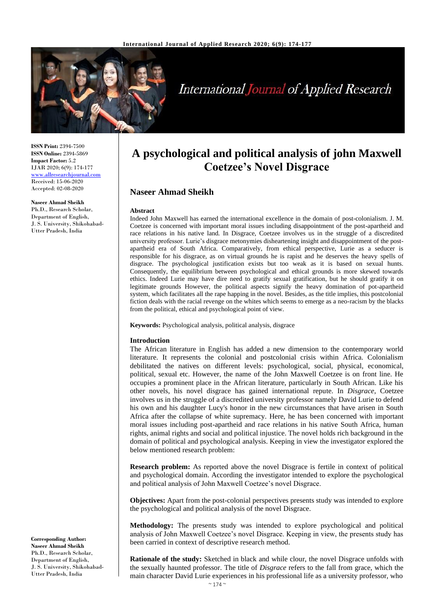

# **International Journal of Applied Research**

**ISSN Print:** 2394-7500 **ISSN Online:** 2394-5869 **Impact Factor:** 5.2 IJAR 2020; 6(9): 174-177 [www.allresearchjournal.com](http://www.allresearchjournal.com/) Received: 15-06-2020 Accepted: 02-08-2020

#### **Naseer Ahmad Sheikh**

Ph.D., Research Scholar, Department of English, J. S. University, Shikohabad-Utter Pradesh, India

**A psychological and political analysis of john Maxwell Coetzee's Novel Disgrace**

# **Naseer Ahmad Sheikh**

#### **Abstract**

Indeed John Maxwell has earned the international excellence in the domain of post-colonialism. J. M. Coetzee is concerned with important moral issues including disappointment of the post-apartheid and race relations in his native land. In Disgrace, Coetzee involves us in the struggle of a discredited university professor. Lurie's disgrace metonymies disheartening insight and disappointment of the postapartheid era of South Africa. Comparatively, from ethical perspective, Lurie as a seducer is responsible for his disgrace, as on virtual grounds he is rapist and he deserves the heavy spells of disgrace. The psychological justification exists but too weak as it is based on sexual hunts. Consequently, the equilibrium between psychological and ethical grounds is more skewed towards ethics. Indeed Lurie may have dire need to gratify sexual gratification, but he should gratify it on legitimate grounds However, the political aspects signify the heavy domination of pot-apartheid system, which facilitates all the rape happing in the novel. Besides, as the title implies, this postcolonial fiction deals with the racial revenge on the whites which seems to emerge as a neo-racism by the blacks from the political, ethical and psychological point of view.

**Keywords:** Psychological analysis, political analysis, disgrace

#### **Introduction**

The African literature in English has added a new dimension to the contemporary world literature. It represents the colonial and postcolonial crisis within Africa. Colonialism debilitated the natives on different levels: psychological, social, physical, economical, political, sexual etc. However, the name of the John Maxwell Coetzee is on front line. He occupies a prominent place in the African literature, particularly in South African. Like his other novels, his novel disgrace has gained international repute. In *Disgrace*, Coetzee involves us in the struggle of a discredited university professor namely David Lurie to defend his own and his daughter Lucy's honor in the new circumstances that have arisen in South Africa after the collapse of white supremacy. Here, he has been concerned with important moral issues including post-apartheid and race relations in his native South Africa, human rights, animal rights and social and political injustice. The novel holds rich background in the domain of political and psychological analysis. Keeping in view the investigator explored the below mentioned research problem:

**Research problem:** As reported above the novel Disgrace is fertile in context of political and psychological domain. According the investigator intended to explore the psychological and political analysis of John Maxwell Coetzee's novel Disgrace.

**Objectives:** Apart from the post-colonial perspectives presents study was intended to explore the psychological and political analysis of the novel Disgrace.

**Methodology:** The presents study was intended to explore psychological and political analysis of John Maxwell Coetzee's novel Disgrace. Keeping in view, the presents study has been carried in context of descriptive research method.

**Rationale of the study:** Sketched in black and while clour, the novel Disgrace unfolds with the sexually haunted professor. The title of *Disgrace* refers to the fall from grace, which the main character David Lurie experiences in his professional life as a university professor, who

**Corresponding Author: Naseer Ahmad Sheikh** Ph.D., Research Scholar, Department of English, J. S. University, Shikohabad-Utter Pradesh, India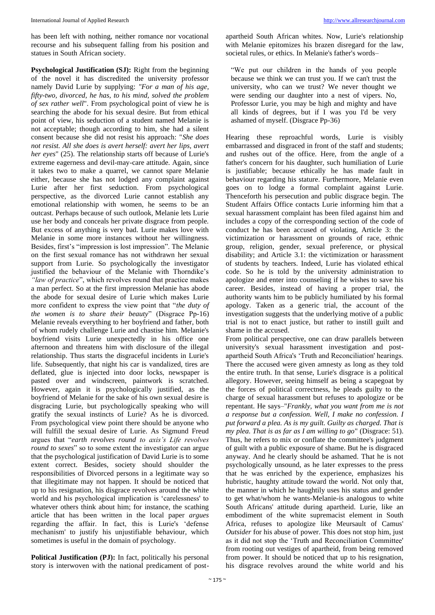has been left with nothing, neither romance nor vocational recourse and his subsequent falling from his position and statues in South African society.

**Psychological Justification (SJ):** Right from the beginning of the novel it has discredited the university professor namely David Lurie by supplying: *"For a man of his age, fifty-two, divorced, he has, to his mind, solved the problem of sex rather well*". From psychological point of view he is searching the abode for his sexual desire. But from ethical point of view, his seduction of a student named Melanie is not acceptable; though according to him, she had a silent consent because she did not resist his approach: "*She does not resist. All she does is avert herself: avert her lips, avert her eyes*" (25). The relationship starts off because of Lurie's extreme eagerness and devil-may-care attitude. Again, since it takes two to make a quarrel, we cannot spare Melanie either, because she has not lodged any complaint against Lurie after her first seduction. From psychological perspective, as the divorced Lurie cannot establish any emotional relationship with women, he seems to be an outcast. Perhaps because of such outlook, Melanie lets Lurie use her body and conceals her private disgrace from people. But excess of anything is very bad. Lurie makes love with Melanie in some more instances without her willingness. Besides, first's "impression is lost impression". The Melanie on the first sexual romance has not withdrawn her sexual support from Lurie. So psychologically the investigator justified the behaviour of the Melanie with Thorndike's *"law of practice*", which revolves round that practice makes a man perfect. So at the first impression Melanie has abode the abode for sexual desire of Lurie which makes Lurie more confident to express the view point that "*the duty of the women is to share their beauty*" (Disgrace Pp-16) Melanie reveals everything to her boyfriend and father, both of whom rudely challenge Lurie and chastise him. Melanie's boyfriend visits Lurie unexpectedly in his office one afternoon and threatens him with disclosure of the illegal relationship. Thus starts the disgraceful incidents in Lurie's life. Subsequently, that night his car is vandalized, tires are deflated, glue is injected into door locks, newspaper is pasted over and windscreen, paintwork is scratched. However, again it is psychologically justified, as the boyfriend of Melanie for the sake of his own sexual desire is disgracing Lurie, but psychologically speaking who will gratify the sexual instincts of Lurie? As he is divorced. From psychological view point there should be anyone who will fulfill the sexual desire of Lurie. As Sigmund Freud argues that "*earth revolves round to axis's Life revolves round to sexes*" so to some extent the investigator can argue that the psychological justification of David Lurie is to some extent correct. Besides, society should shoulder the responsibilities of Divorced persons in a legitimate way so that illegitimate may not happen. It should be noticed that up to his resignation, his disgrace revolves around the white world and his psychological implication is 'carelessness' to whatever others think about him; for instance, the scathing article that has been written in the local paper *argues* regarding the affair. In fact, this is Lurie's 'defense mechanism' to justify his unjustifiable behaviour, which sometimes is useful in the domain of psychology.

**Political Justification (PJ):** In fact, politically his personal story is interwoven with the national predicament of postapartheid South African whites. Now, Lurie's relationship with Melanie epitomizes his brazen disregard for the law, societal rules, or ethics. In Melanie's father's words–

"We put our children in the hands of you people because we think we can trust you. If we can't trust the university, who can we trust? We never thought we were sending our daughter into a nest of vipers. No, Professor Lurie, you may be high and mighty and have all kinds of degrees, but if I was you I'd be very ashamed of myself. (Disgrace Pp-36)

Hearing these reproachful words, Lurie is visibly embarrassed and disgraced in front of the staff and students; and rushes out of the office. Here, from the angle of a father's concern for his daughter, such humiliation of Lurie is justifiable; because ethically he has made fault in behaviour regarding his stature. Furthermore, Melanie even goes on to lodge a formal complaint against Lurie. Thenceforth his persecution and public disgrace begin. The Student Affairs Office contacts Lurie informing him that a sexual harassment complaint has been filed against him and includes a copy of the corresponding section of the code of conduct he has been accused of violating, Article 3: the victimization or harassment on grounds of race, ethnic group, religion, gender, sexual preference, or physical disability; and Article 3.1: the victimization or harassment of students by teachers. Indeed, Lurie has violated ethical code. So he is told by the university administration to apologize and enter into counseling if he wishes to save his career. Besides, instead of having a proper trial, the authority wants him to be publicly humiliated by his formal apology. Taken as a generic trial, the account of the investigation suggests that the underlying motive of a public trial is not to enact justice, but rather to instill guilt and shame in the accused.

From political perspective, one can draw parallels between university's sexual harassment investigation and postapartheid South Africa's 'Truth and Reconciliation' hearings. There the accused were given amnesty as long as they told the entire truth. In that sense, Lurie's disgrace is a political allegory. However, seeing himself as being a scapegoat by the forces of political correctness, he pleads guilty to the charge of sexual harassment but refuses to apologize or be repentant. He says–"*Frankly, what you want from me is not a response but a confession. Well, I make no confession. I put forward a plea. As is my guilt. Guilty as charged. That is my plea. That is as far as I am willing to go*" (Disgrace: 51). Thus, he refers to mix or conflate the committee's judgment of guilt with a public exposure of shame. But he is disgraced anyway. And he clearly should be ashamed. That he is not psychologically unsound, as he later expresses to the press that he was enriched by the experience, emphasizes his hubristic, haughty attitude toward the world. Not only that, the manner in which he haughtily uses his status and gender to get what/whom he wants-Melanie-is analogous to white South Africans' attitude during apartheid. Lurie, like an embodiment of the white supremacist element in South Africa, refuses to apologize like Meursault of Camus' *Outsider* for his abuse of power. This does not stop him, just as it did not stop the 'Truth and Reconciliation Committee' from rooting out vestiges of apartheid, from being removed from power. It should be noticed that up to his resignation, his disgrace revolves around the white world and his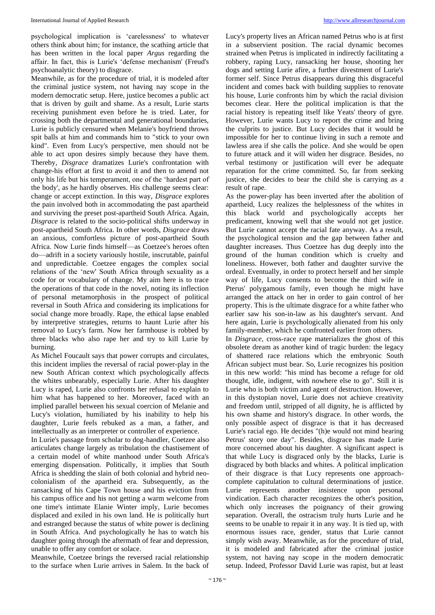psychological implication is 'carelessness' to whatever others think about him; for instance, the scathing article that has been written in the local paper *Argus* regarding the affair. In fact, this is Lurie's 'defense mechanism' (Freud's psychoanalytic theory) to disgrace.

Meanwhile, as for the procedure of trial, it is modeled after the criminal justice system, not having nay scope in the modern democratic setup. Here, justice becomes a public act that is driven by guilt and shame. As a result, Lurie starts receiving punishment even before he is tried. Later, for crossing both the departmental and generational boundaries, Lurie is publicly censured when Melanie's boyfriend throws spit balls at him and commands him to "stick to your own kind". Even from Lucy's perspective, men should not be able to act upon desires simply because they have them. Thereby, *Disgrace* dramatizes Lurie's confrontation with change-his effort at first to avoid it and then to amend not only his life but his temperament, one of the 'hardest part of the body', as he hardly observes. His challenge seems clear: change or accept extinction. In this way, *Disgrace* explores the pain involved both in accommodating the past apartheid and surviving the preset post-apartheid South Africa. Again, *Disgrace* is related to the socio-political shifts underway in post-apartheid South Africa. In other words, *Disgrace* draws an anxious, comfortless picture of post-apartheid South Africa. Now Lurie finds himself––as Coetzee's heroes often do––adrift in a society variously hostile, inscrutable, painful and unpredictable. Coetzee engages the complex social relations of the 'new' South Africa through sexuality as a code for or vocabulary of change. My aim here is to trace the operations of that code in the novel, noting its inflection of personal metamorphosis in the prospect of political reversal in South Africa and considering its implications for social change more broadly. Rape, the ethical lapse enabled by interpretive strategies, returns to haunt Lurie after his removal to Lucy's farm. Now her farmhouse is robbed by three blacks who also rape her and try to kill Lurie by burning.

As Michel Foucault says that power corrupts and circulates, this incident implies the reversal of racial power-play in the new South African context which psychologically affects the whites unbearably, especially Lurie. After his daughter Lucy is raped, Lurie also confronts her refusal to explain to him what has happened to her. Moreover, faced with an implied parallel between his sexual coercion of Melanie and Lucy's violation, humiliated by his inability to help his daughter, Lurie feels rebuked as a man, a father, and intellectually as an interpreter or controller of experience.

In Lurie's passage from scholar to dog-handler, Coetzee also articulates change largely as tribulation the chastisement of a certain model of white manhood under South Africa's emerging dispensation. Politically, it implies that South Africa is shedding the slain of both colonial and hybrid neocolonialism of the apartheid era. Subsequently, as the ransacking of his Cape Town house and his eviction from his campus office and his not getting a warm welcome from one time's intimate Elanie Winter imply, Lurie becomes displaced and exiled in his own land. He is politically hurt and estranged because the status of white power is declining in South Africa. And psychologically he has to watch his daughter going through the aftermath of fear and depression, unable to offer any comfort or solace.

Meanwhile, Coetzee brings the reversed racial relationship to the surface when Lurie arrives in Salem. In the back of Lucy's property lives an African named Petrus who is at first in a subservient position. The racial dynamic becomes strained when Petrus is implicated in indirectly facilitating a robbery, raping Lucy, ransacking her house, shooting her dogs and setting Lurie afire, a further divestment of Lurie's former self. Since Petrus disappears during this disgraceful incident and comes back with building supplies to renovate his house, Lurie confronts him by which the racial division becomes clear. Here the political implication is that the racial history is repeating itself like Yeats' theory of gyre. However, Lurie wants Lucy to report the crime and bring the culprits to justice. But Lucy decides that it would be impossible for her to continue living in such a remote and lawless area if she calls the police. And she would be open to future attack and it will widen her disgrace. Besides, no verbal testimony or justification will ever be adequate reparation for the crime committed. So, far from seeking justice, she decides to bear the child she is carrying as a result of rape.

As the power-play has been inverted after the abolition of apartheid, Lucy realizes the helplessness of the whites in this black world and psychologically accepts her predicament, knowing well that she would not get justice. But Lurie cannot accept the racial fate anyway. As a result, the psychological tension and the gap between father and daughter increases. Thus Coetzee has dug deeply into the ground of the human condition which is cruelty and loneliness. However, both father and daughter survive the ordeal. Eventually, in order to protect herself and her simple way of life, Lucy consents to become the third wife in Pterus' polygamous family, even though he might have arranged the attack on her in order to gain control of her property. This is the ultimate disgrace for a white father who earlier saw his son-in-law as his daughter's servant. And here again, Lurie is psychologically alienated from his only family-member, which he confronted earlier from others.

In *Disgrace*, cross-race rape materializes the ghost of this obsolete dream as another kind of tragic burden: the legacy of shattered race relations which the embryonic South African subject must bear. So, Lurie recognizes his position in this new world: "his mind has become a refuge for old thought, idle, indigent, with nowhere else to go". Still it is Lurie who is both victim and agent of destruction. However, in this dystopian novel, Lurie does not achieve creativity and freedom until, stripped of all dignity, he is afflicted by his own shame and history's disgrace. In other words, the only possible aspect of disgrace is that it has decreased Lurie's racial ego. He decides "(h)e would not mind hearing Petrus' story one day". Besides, disgrace has made Lurie more concerned about his daughter. A significant aspect is that while Lucy is disgraced only by the blacks, Lurie is disgraced by both blacks and whites. A political implication of their disgrace is that Lucy represents one approachcomplete capitulation to cultural determinations of justice. Lurie represents another insistence upon personal vindication. Each character recognizes the other's position, which only increases the poignancy of their growing separation. Overall, the ostracism truly hurts Lurie and he seems to be unable to repair it in any way. It is tied up, with enormous issues race, gender, status that Lurie cannot simply wish away. Meanwhile, as for the procedure of trial, it is modeled and fabricated after the criminal justice system, not having nay scope in the modern democratic setup. Indeed, Professor David Lurie was rapist, but at least